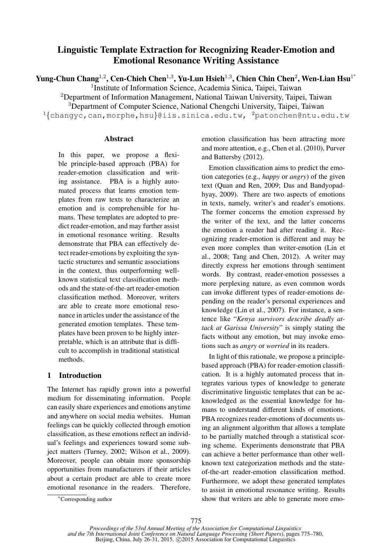# Linguistic Template Extraction for Recognizing Reader-Emotion and Emotional Resonance Writing Assistance

Yung-Chun Chang<sup>1,2</sup>, Cen-Chieh Chen<sup>1,3</sup>, Yu-Lun Hsieh<sup>1,3</sup>, Chien Chin Chen<sup>2</sup>, Wen-Lian Hsu<sup>1\*</sup>

<sup>1</sup>Institute of Information Science, Academia Sinica, Taipei, Taiwan

<sup>2</sup>Department of Information Management, National Taiwan University, Taipei, Taiwan

<sup>3</sup>Department of Computer Science, National Chengchi University, Taipei, Taiwan

 $1$ {changyc,can,morphe,hsu}@iis.sinica.edu.tw,  $2$ patonchen@ntu.edu.tw

### Abstract

In this paper, we propose a flexible principle-based approach (PBA) for reader-emotion classification and writing assistance. PBA is a highly automated process that learns emotion templates from raw texts to characterize an emotion and is comprehensible for humans. These templates are adopted to predict reader-emotion, and may further assist in emotional resonance writing. Results demonstrate that PBA can effectively detect reader-emotions by exploiting the syntactic structures and semantic associations in the context, thus outperforming wellknown statistical text classification methods and the state-of-the-art reader-emotion classification method. Moreover, writers are able to create more emotional resonance in articles under the assistance of the generated emotion templates. These templates have been proven to be highly interpretable, which is an attribute that is difficult to accomplish in traditional statistical methods.

# 1 Introduction

The Internet has rapidly grown into a powerful medium for disseminating information. People can easily share experiences and emotions anytime and anywhere on social media websites. Human feelings can be quickly collected through emotion classification, as these emotions reflect an individual's feelings and experiences toward some subject matters (Turney, 2002; Wilson et al., 2009). Moreover, people can obtain more sponsorship opportunities from manufacturers if their articles about a certain product are able to create more emotional resonance in the readers. Therefore,

Emotion classification aims to predict the emotion categories (e.g., *happy* or *angry*) of the given text (Quan and Ren, 2009; Das and Bandyopadhyay, 2009). There are two aspects of emotions in texts, namely, writer's and reader's emotions. The former concerns the emotion expressed by the writer of the text, and the latter concerns the emotion a reader had after reading it. Recognizing reader-emotion is different and may be even more complex than writer-emotion (Lin et al., 2008; Tang and Chen, 2012). A writer may directly express her emotions through sentiment words. By contrast, reader-emotion possesses a more perplexing nature, as even common words can invoke different types of reader-emotions depending on the reader's personal experiences and knowledge (Lin et al., 2007). For instance, a sentence like "*Kenya survivors describe deadly attack at Garissa University*" is simply stating the facts without any emotion, but may invoke emotions such as *angry* or *worried* in its readers.

In light of this rationale, we propose a principlebased approach (PBA) for reader-emotion classification. It is a highly automated process that integrates various types of knowledge to generate discriminative linguistic templates that can be acknowledged as the essential knowledge for humans to understand different kinds of emotions. PBA recognizes reader-emotions of documents using an alignment algorithm that allows a template to be partially matched through a statistical scoring scheme. Experiments demonstrate that PBA can achieve a better performance than other wellknown text categorization methods and the stateof-the-art reader-emotion classification method. Furthermore, we adopt these generated templates to assist in emotional resonance writing. Results show that writers are able to generate more emo-

emotion classification has been attracting more and more attention, e.g., Chen et al. (2010), Purver and Battersby (2012).

<sup>∗</sup>Corresponding author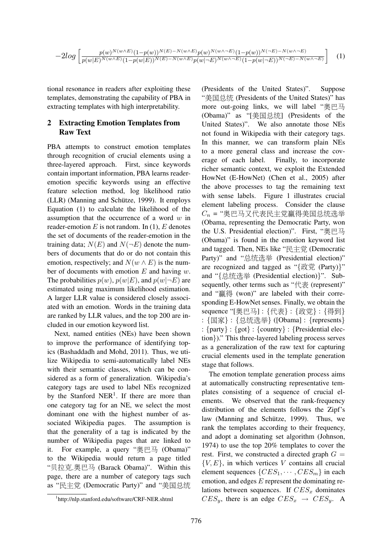$$
-2log\left[\frac{p(w)^{N(w\wedge E)}(1-p(w))^{N(E)-N(w\wedge E)}p(w)^{N(w\wedge \neg E)}(1-p(w))^{N(-E)-N(w\wedge \neg E)}}{p(w|E)^{N(w\wedge E)}(1-p(w|E))^{N(E)-N(w\wedge E)}p(w|\neg E)^{N(w\wedge \neg E)}(1-p(w|\neg E))^{N(-E)-N(w\wedge \neg E)}}\right]
$$
(1)

tional resonance in readers after exploiting these templates, demonstrating the capability of PBA in extracting templates with high interpretability.

# 2 Extracting Emotion Templates from Raw Text

PBA attempts to construct emotion templates through recognition of crucial elements using a three-layered approach. First, since keywords contain important information, PBA learns readeremotion specific keywords using an effective feature selection method, log likelihood ratio (LLR) (Manning and Schütze, 1999). It employs Equation (1) to calculate the likelihood of the assumption that the occurrence of a word  $w$  in reader-emotion  $E$  is not random. In (1),  $E$  denotes the set of documents of the reader-emotion in the training data;  $N(E)$  and  $N(\neg E)$  denote the numbers of documents that do or do not contain this emotion, respectively; and  $N(w \wedge E)$  is the number of documents with emotion  $E$  and having  $w$ . The probabilities  $p(w)$ ,  $p(w|E)$ , and  $p(w|\neg E)$  are estimated using maximum likelihood estimation. A larger LLR value is considered closely associated with an emotion. Words in the training data are ranked by LLR values, and the top 200 are included in our emotion keyword list.

Next, named entities (NEs) have been shown to improve the performance of identifying topics (Bashaddadh and Mohd, 2011). Thus, we utilize Wikipedia to semi-automatically label NEs with their semantic classes, which can be considered as a form of generalization. Wikipedia's category tags are used to label NEs recognized by the Stanford NER<sup>1</sup>. If there are more than one category tag for an NE, we select the most dominant one with the highest number of associated Wikipedia pages. The assumption is that the generality of a tag is indicated by the number of Wikipedia pages that are linked to it. For example, a query "奥巴马 (Obama)" to the Wikipedia would return a page titled "贝拉克.奥巴马 (Barack Obama)". Within this page, there are a number of category tags such as "民主党 (Democratic Party)" and "美国总统

(Presidents of the United States)". Suppose "美国总统 (Presidents of the United States)" has more out-going links, we will label "奥巴马 (Obama)" as "[美国总统] (Presidents of the United States)". We also annotate those NEs not found in Wikipedia with their category tags. In this manner, we can transform plain NEs to a more general class and increase the coverage of each label. Finally, to incorporate richer semantic context, we exploit the Extended HowNet (E-HowNet) (Chen et al., 2005) after the above processes to tag the remaining text with sense labels. Figure 1 illustrates crucial element labeling process. Consider the clause  $C_n$  = "奥巴马又代表民主党赢得美国总统选举 (Obama, representing the Democratic Party, won the U.S. Presidential election)". First, "奥巴马 (Obama)" is found in the emotion keyword list and tagged. Then, NEs like "民主党 (Democratic Party)" and "总统选举 (Presidential election)" are recognized and tagged as "{政党 (Party)}" and "{总统选举 (Presidential election)}". Subsequently, other terms such as "代表 (represent)" and "赢得 (won)" are labeled with their corresponding E-HowNet senses. Finally, we obtain the sequence "[奥巴马] : {代表} : {政党} : {得到} : {国家} : {总统选举} ([Obama] : {represents} :  $\{party\}$  :  $\{got\}$  :  $\{country\}$  :  $\{Presidential elec$ tion})." This three-layered labeling process serves as a generalization of the raw text for capturing crucial elements used in the template generation stage that follows.

The emotion template generation process aims at automatically constructing representative templates consisting of a sequence of crucial elements. We observed that the rank-frequency distribution of the elements follows the Zipf's law (Manning and Schütze, 1999). Thus, we rank the templates according to their frequency, and adopt a dominating set algorithm (Johnson, 1974) to use the top 20% templates to cover the rest. First, we constructed a directed graph  $G =$  ${V, E}$ , in which vertices V contains all crucial element sequences  $\{CES_1, \cdots, CES_m\}$  in each emotion, and edges  $E$  represent the dominating relations between sequences. If  $CES_x$  dominates  $CES_y$ , there is an edge  $CES_x \rightarrow CES_y$ . A

<sup>1</sup> http://nlp.stanford.edu/software/CRF-NER.shtml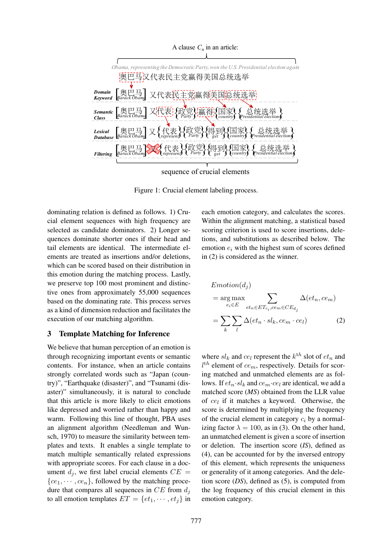

sequence of crucial elements

Figure 1: Crucial element labeling process.

dominating relation is defined as follows. 1) Crucial element sequences with high frequency are selected as candidate dominators. 2) Longer sequences dominate shorter ones if their head and tail elements are identical. The intermediate elements are treated as insertions and/or deletions, which can be scored based on their distribution in this emotion during the matching process. Lastly, we preserve top 100 most prominent and distinctive ones from approximately 55,000 sequences based on the dominating rate. This process serves as a kind of dimension reduction and facilitates the execution of our matching algorithm.

# 3 Template Matching for Inference

We believe that human perception of an emotion is through recognizing important events or semantic contents. For instance, when an article contains strongly correlated words such as "Japan (country)", "Earthquake (disaster)", and "Tsunami (disaster)" simultaneously, it is natural to conclude that this article is more likely to elicit emotions like depressed and worried rather than happy and warm. Following this line of thought, PBA uses an alignment algorithm (Needleman and Wunsch, 1970) to measure the similarity between templates and texts. It enables a single template to match multiple semantically related expressions with appropriate scores. For each clause in a document  $d_i$ , we first label crucial elements  $CE =$  ${ce_1, \dots, ce_n}$ , followed by the matching procedure that compares all sequences in  $CE$  from  $d_i$ to all emotion templates  $ET = \{et_1, \dots, et_i\}$  in

each emotion category, and calculates the scores. Within the alignment matching, a statistical based scoring criterion is used to score insertions, deletions, and substitutions as described below. The emotion  $e_i$  with the highest sum of scores defined in (2) is considered as the winner.

$$
Emotion(dj)
$$
  
= arg max  

$$
e_i \in E
$$

$$
et_n \in ET_{c_i}, ce_m \in CE_{d_j}
$$
  
= 
$$
\sum_k \sum_l \Delta(e t_n \cdot sl_k, ce_m \cdot ce_l)
$$
 (2)

where  $sl_k$  and  $ce_l$  represent the  $k<sup>th</sup>$  slot of  $et_n$  and  $l<sup>th</sup>$  element of  $ce_m$ , respectively. Details for scoring matched and unmatched elements are as follows. If  $et_n \cdot sl_k$  and  $ce_m \cdot ce_l$  are identical, we add a matched score (*MS*) obtained from the LLR value of  $ce_l$  if it matches a keyword. Otherwise, the score is determined by multiplying the frequency of the crucial element in category  $c_i$  by a normalizing factor  $\lambda = 100$ , as in (3). On the other hand, an unmatched element is given a score of insertion or deletion. The insertion score (*IS*), defined as (4), can be accounted for by the inversed entropy of this element, which represents the uniqueness or generality of it among categories. And the deletion score (*DS*), defined as (5), is computed from the log frequency of this crucial element in this emotion category.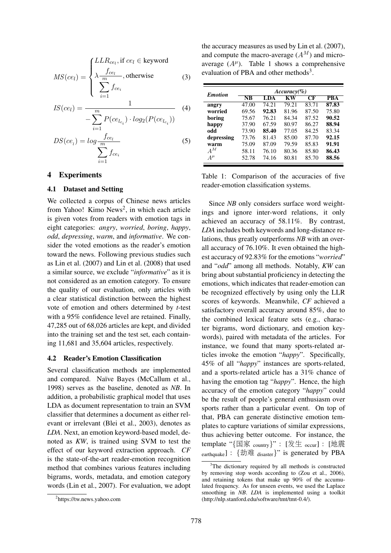$$
MS(ce_l) = \begin{cases} LLR_{ce_l}, \text{if } ce_l \in \text{keyword} \\ \lambda \frac{f_{ce_l}}{m}, \text{otherwise} \\ \sum_{i=1}^{m} f_{ce_i} \end{cases}
$$
 (3)

$$
IS(ce_l) = \frac{1}{-\sum_{i=1}^{m} P(ce_{l_{c_i}}) \cdot log_2(P(ce_{l_{c_i}}))}
$$
(4)

$$
DS(ce_i) = log \frac{f_{ce_i}}{\sum_{i=1}^{m} f_{ce_i}}
$$
 (5)

### 4 Experiments

#### 4.1 Dataset and Setting

We collected a corpus of Chinese news articles from Yahoo! Kimo News<sup>2</sup>, in which each article is given votes from readers with emotion tags in eight categories: *angry*, *worried*, *boring*, *happy*, *odd*, *depressing*, *warm*, and *informative*. We consider the voted emotions as the reader's emotion toward the news. Following previous studies such as Lin et al. (2007) and Lin et al. (2008) that used a similar source, we exclude "*informative*" as it is not considered as an emotion category. To ensure the quality of our evaluation, only articles with a clear statistical distinction between the highest vote of emotion and others determined by *t*-test with a 95% confidence level are retained. Finally, 47,285 out of 68,026 articles are kept, and divided into the training set and the test set, each containing 11,681 and 35,604 articles, respectively.

### 4.2 Reader's Emotion Classification

Several classification methods are implemented and compared. Naïve Bayes (McCallum et al., 1998) serves as the baseline, denoted as *NB*. In addition, a probabilistic graphical model that uses LDA as document representation to train an SVM classifier that determines a document as either relevant or irrelevant (Blei et al., 2003), denotes as *LDA*. Next, an emotion keyword-based model, denoted as *KW*, is trained using SVM to test the effect of our keyword extraction approach. *CF* is the state-of-the-art reader-emotion recognition method that combines various features including bigrams, words, metadata, and emotion category words (Lin et al., 2007). For evaluation, we adopt

the accuracy measures as used by Lin et al. (2007), and compute the macro-average  $(A^M)$  and microaverage  $(A^{\mu})$ . Table 1 shows a comprehensive evaluation of PBA and other methods<sup>3</sup>.

| <b>Emotion</b> | $Accuracy(\% )$        |       |       |       |            |
|----------------|------------------------|-------|-------|-------|------------|
|                | $\overline{\text{NB}}$ | LDA   | КW    | CF    | <b>PBA</b> |
| angry          | 47.00                  | 74.21 | 79.21 | 83.71 | 87.83      |
| worried        | 69.56                  | 92.83 | 81.96 | 87.50 | 75.80      |
| boring         | 75.67                  | 76.21 | 84.34 | 87.52 | 90.52      |
| happy          | 37.90                  | 67.59 | 80.97 | 86.27 | 88.94      |
| hho            | 73.90                  | 85.40 | 77.05 | 84.25 | 83.34      |
| depressing     | 73.76                  | 81.43 | 85.00 | 87.70 | 92.15      |
| warm           | 75.09                  | 87.09 | 79.59 | 85.83 | 91.91      |
| $A^M$          | 58.11                  | 76.10 | 80.36 | 85.80 | 86.43      |
| $A^{\mu}$      | 52.78                  | 74.16 | 80.81 | 85.70 | 88.56      |

Table 1: Comparison of the accuracies of five reader-emotion classification systems.

Since *NB* only considers surface word weightings and ignore inter-word relations, it only achieved an accuracy of 58.11%. By contrast, *LDA* includes both keywords and long-distance relations, thus greatly outperforms *NB* with an overall accuracy of 76.10%. It even obtained the highest accuracy of 92.83% for the emotions "*worried*" and "*odd*" among all methods. Notably, *KW* can bring about substantial proficiency in detecting the emotions, which indicates that reader-emotion can be recognized effectively by using only the LLR scores of keywords. Meanwhile, *CF* achieved a satisfactory overall accuracy around 85%, due to the combined lexical feature sets (e.g., character bigrams, word dictionary, and emotion keywords), paired with metadata of the articles. For instance, we found that many sports-related articles invoke the emotion "*happy*". Specifically, 45% of all "*happy*" instances are sports-related, and a sports-related article has a 31% chance of having the emotion tag "*happy*". Hence, the high accuracy of the emotion category "*happy*" could be the result of people's general enthusiasm over sports rather than a particular event. On top of that, PBA can generate distinctive emotion templates to capture variations of similar expressions, thus achieving better outcome. For instance, the template "{国<sup>家</sup> country}" : [发生 occur] : [地<sup>震</sup> earthquake] : {劫难 disaster}" is generated by PBA

<sup>2</sup> https://tw.news.yahoo.com

 $3$ The dictionary required by all methods is constructed by removing stop words according to (Zou et al., 2006), and retaining tokens that make up 90% of the accumulated frequency. As for unseen events, we used the Laplace smoothing in *NB*. *LDA* is implemented using a toolkit (http://nlp.stanford.edu/software/tmt/tmt-0.4/).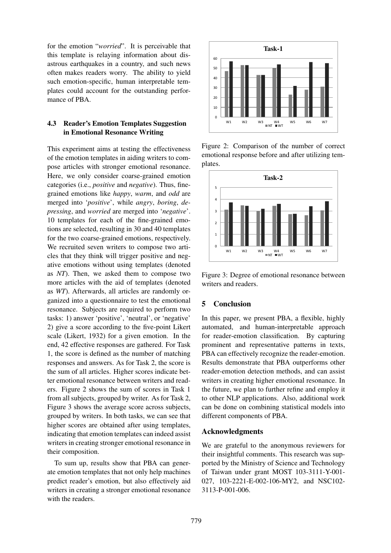for the emotion "*worried*". It is perceivable that this template is relaying information about disastrous earthquakes in a country, and such news often makes readers worry. The ability to yield such emotion-specific, human interpretable templates could account for the outstanding performance of PBA.

# 4.3 Reader's Emotion Templates Suggestion in Emotional Resonance Writing

This experiment aims at testing the effectiveness of the emotion templates in aiding writers to compose articles with stronger emotional resonance. Here, we only consider coarse-grained emotion categories (i.e., *positive* and *negative*). Thus, finegrained emotions like *happy*, *warm*, and *odd* are merged into '*positive*', while *angry*, *boring*, *depressing*, and *worried* are merged into '*negative*'. 10 templates for each of the fine-grained emotions are selected, resulting in 30 and 40 templates for the two coarse-grained emotions, respectively. We recruited seven writers to compose two articles that they think will trigger positive and negative emotions without using templates (denoted as *NT*). Then, we asked them to compose two more articles with the aid of templates (denoted as *WT*). Afterwards, all articles are randomly organized into a questionnaire to test the emotional resonance. Subjects are required to perform two tasks: 1) answer 'positive', 'neutral', or 'negative' 2) give a score according to the five-point Likert scale (Likert, 1932) for a given emotion. In the end, 42 effective responses are gathered. For Task 1, the score is defined as the number of matching responses and answers. As for Task 2, the score is the sum of all articles. Higher scores indicate better emotional resonance between writers and readers. Figure 2 shows the sum of scores in Task 1 from all subjects, grouped by writer. As for Task 2, Figure 3 shows the average score across subjects, grouped by writers. In both tasks, we can see that higher scores are obtained after using templates, indicating that emotion templates can indeed assist writers in creating stronger emotional resonance in their composition.

To sum up, results show that PBA can generate emotion templates that not only help machines predict reader's emotion, but also effectively aid writers in creating a stronger emotional resonance with the readers.



Figure 2: Comparison of the number of correct emotional response before and after utilizing templates.



Figure 3: Degree of emotional resonance between writers and readers.

# 5 Conclusion

In this paper, we present PBA, a flexible, highly automated, and human-interpretable approach for reader-emotion classification. By capturing prominent and representative patterns in texts, PBA can effectively recognize the reader-emotion. Results demonstrate that PBA outperforms other reader-emotion detection methods, and can assist writers in creating higher emotional resonance. In the future, we plan to further refine and employ it to other NLP applications. Also, additional work can be done on combining statistical models into different components of PBA.

### Acknowledgments

We are grateful to the anonymous reviewers for their insightful comments. This research was supported by the Ministry of Science and Technology of Taiwan under grant MOST 103-3111-Y-001- 027, 103-2221-E-002-106-MY2, and NSC102- 3113-P-001-006.